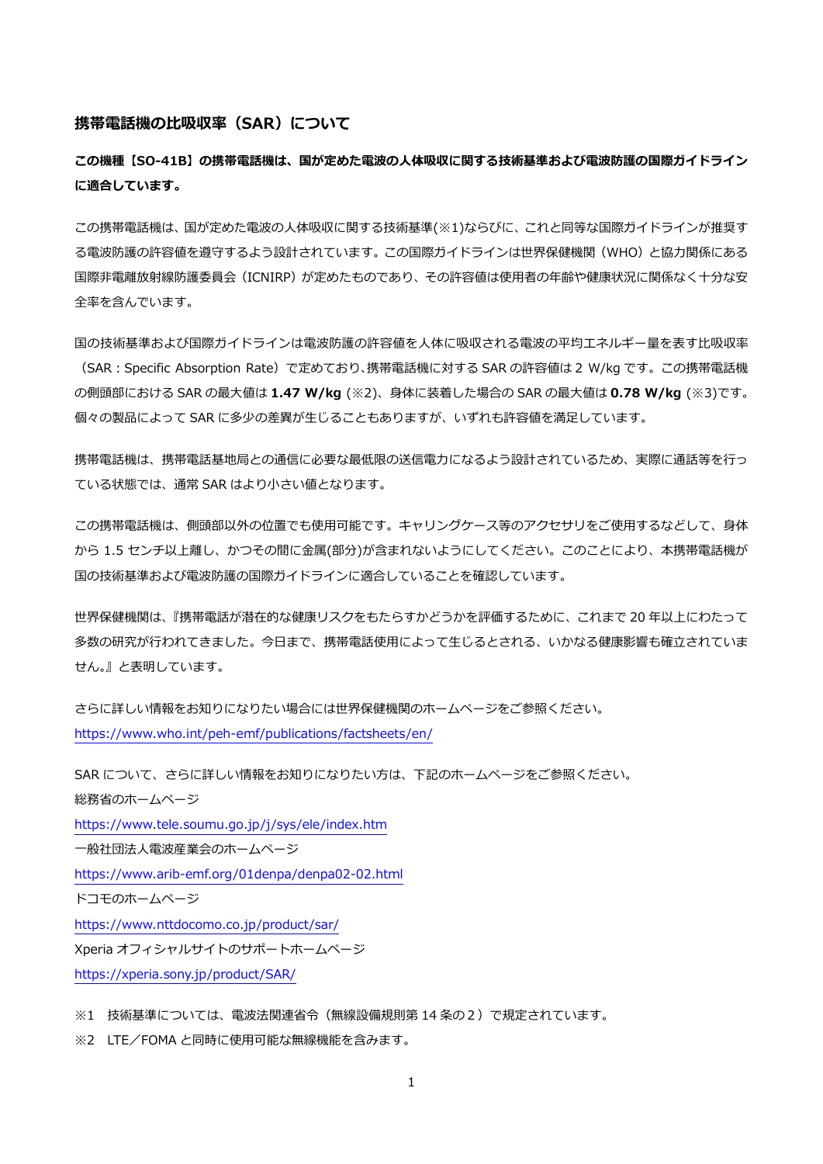#### **携帯電話機の比吸収率(SAR)について**

**この機種【SO-41B】の携帯電話機は、国が定めた電波の人体吸収に関する技術基準および電波防護の国際ガイドライン に適合しています。**

この携帯電話機は、国が定めた電波の人体吸収に関する技術基準(※1)ならびに、これと同等な国際ガイドラインが推奨す る電波防護の許容値を遵守するよう設計されています。この国際ガイドラインは世界保健機関(WHO)と協力関係にある 国際非電離放射線防護委員会(ICNIRP)が定めたものであり、その許容値は使用者の年齢や健康状況に関係なく十分な安 全率を含んでいます。

国の技術基準および国際ガイドラインは電波防護の許容値を人体に吸収される電波の平均エネルギー量を表す比吸収率 (SAR:Specific Absorption Rate)で定めており、携帯電話機に対する SAR の許容値は 2 W/kg です。この携帯電話機 の側頭部における SAR の最大値は **1.47 W/kg** (※2)、身体に装着した場合の SAR の最大値は **0.78 W/kg** (※3)です。 個々の製品によって SAR に多少の差異が生じることもありますが、いずれも許容値を満足しています。

携帯電話機は、携帯電話基地局との通信に必要な最低限の送信電力になるよう設計されているため、実際に通話等を行っ ている状態では、通常 SAR はより小さい値となります。

この携帯電話機は、側頭部以外の位置でも使用可能です。キャリングケース等のアクセサリをご使用するなどして、身体 から 1.5 センチ以上離し、かつその間に金属(部分)が含まれないようにしてください。このことにより、本携帯電話機が 国の技術基準および電波防護の国際ガイドラインに適合していることを確認しています。

世界保健機関は、『携帯電話が潜在的な健康リスクをもたらすかどうかを評価するために、これまで 20 年以上にわたって 多数の研究が行われてきました。今日まで、携帯電話使用によって生じるとされる、いかなる健康影響も確立されていま せん。』と表明しています。

さらに詳しい情報をお知りになりたい場合には世界保健機関のホームページをご参照ください。 <https://www.who.int/peh-emf/publications/factsheets/en/>

SAR について、さらに詳しい情報をお知りになりたい方は、下記のホームページをご参照ください。 総務省のホームページ <https://www.tele.soumu.go.jp/j/sys/ele/index.htm> 一般社団法人電波産業会のホームページ <https://www.arib-emf.org/01denpa/denpa02-02.html> ドコモのホームページ <https://www.nttdocomo.co.jp/product/sar/> Xperia オフィシャルサイトのサポートホームページ <https://xperia.sony.jp/product/SAR/>

※1 技術基準については、電波法関連省令(無線設備規則第14条の2)で規定されています。

※2 LTE/FOMA と同時に使用可能な無線機能を含みます。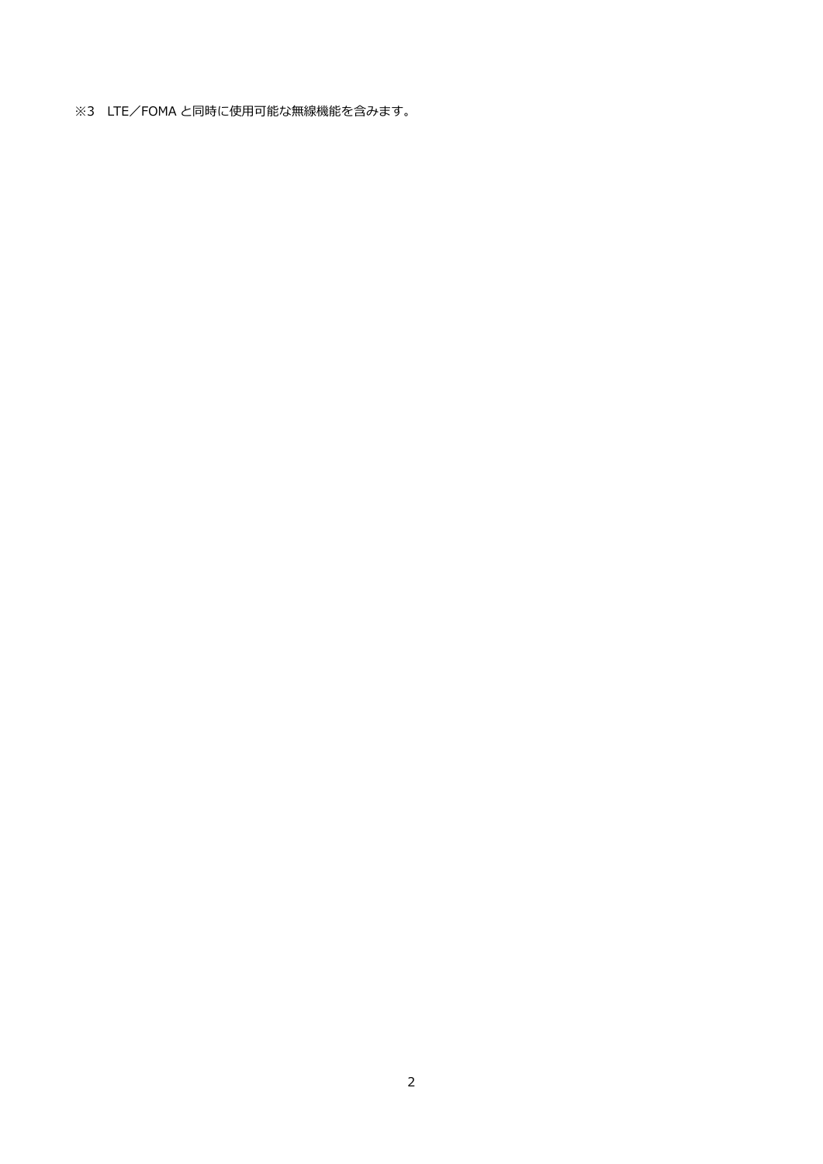※3 LTE/FOMA と同時に使用可能な無線機能を含みます。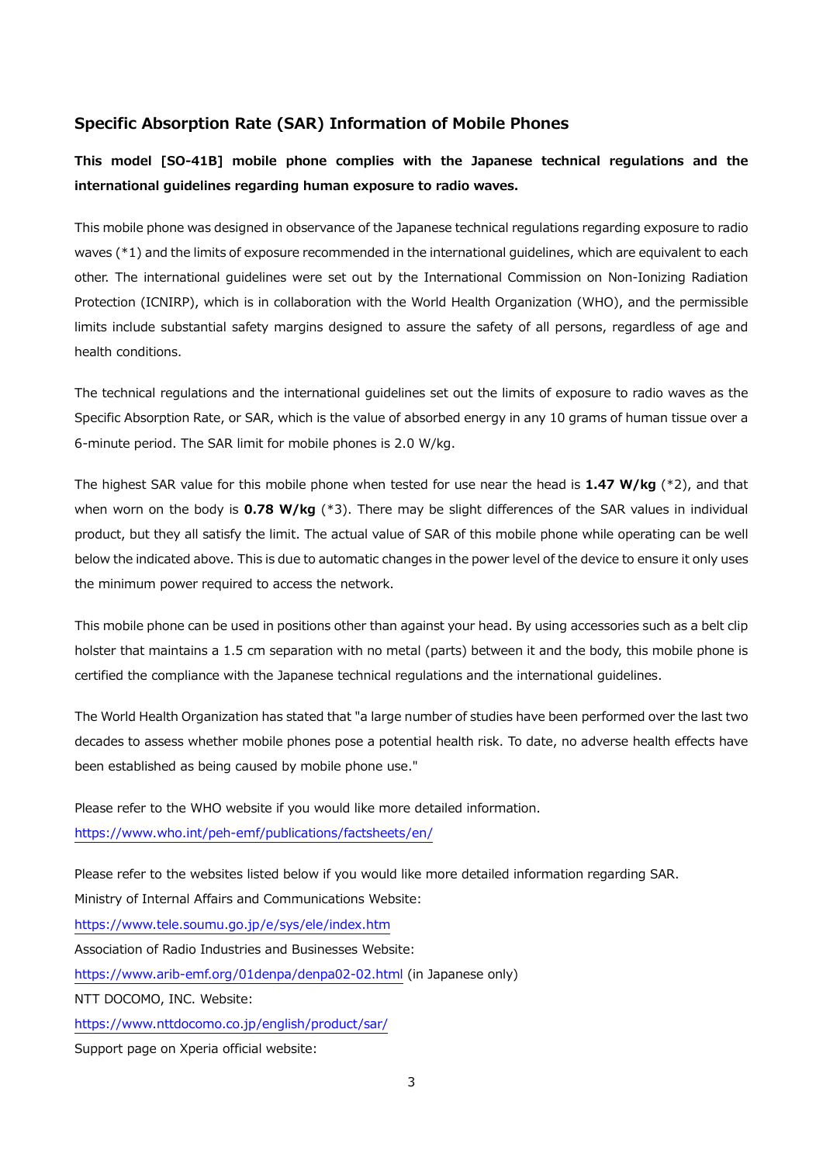## **Specific Absorption Rate (SAR) Information of Mobile Phones**

**This model [SO-41B] mobile phone complies with the Japanese technical regulations and the international guidelines regarding human exposure to radio waves.**

This mobile phone was designed in observance of the Japanese technical regulations regarding exposure to radio waves (\*1) and the limits of exposure recommended in the international guidelines, which are equivalent to each other. The international guidelines were set out by the International Commission on Non-Ionizing Radiation Protection (ICNIRP), which is in collaboration with the World Health Organization (WHO), and the permissible limits include substantial safety margins designed to assure the safety of all persons, regardless of age and health conditions.

The technical regulations and the international guidelines set out the limits of exposure to radio waves as the Specific Absorption Rate, or SAR, which is the value of absorbed energy in any 10 grams of human tissue over a 6-minute period. The SAR limit for mobile phones is 2.0 W/kg.

The highest SAR value for this mobile phone when tested for use near the head is **1.47 W/kg** (\*2), and that when worn on the body is **0.78 W/kg** (\*3). There may be slight differences of the SAR values in individual product, but they all satisfy the limit. The actual value of SAR of this mobile phone while operating can be well below the indicated above. This is due to automatic changes in the power level of the device to ensure it only uses the minimum power required to access the network.

This mobile phone can be used in positions other than against your head. By using accessories such as a belt clip holster that maintains a 1.5 cm separation with no metal (parts) between it and the body, this mobile phone is certified the compliance with the Japanese technical regulations and the international guidelines.

The World Health Organization has stated that "a large number of studies have been performed over the last two decades to assess whether mobile phones pose a potential health risk. To date, no adverse health effects have been established as being caused by mobile phone use."

Please refer to the WHO website if you would like more detailed information. <https://www.who.int/peh-emf/publications/factsheets/en/>

Please refer to the websites listed below if you would like more detailed information regarding SAR. Ministry of Internal Affairs and Communications Website: <https://www.tele.soumu.go.jp/e/sys/ele/index.htm> Association of Radio Industries and Businesses Website: <https://www.arib-emf.org/01denpa/denpa02-02.html> (in Japanese only) NTT DOCOMO, INC. Website: <https://www.nttdocomo.co.jp/english/product/sar/> Support page on Xperia official website: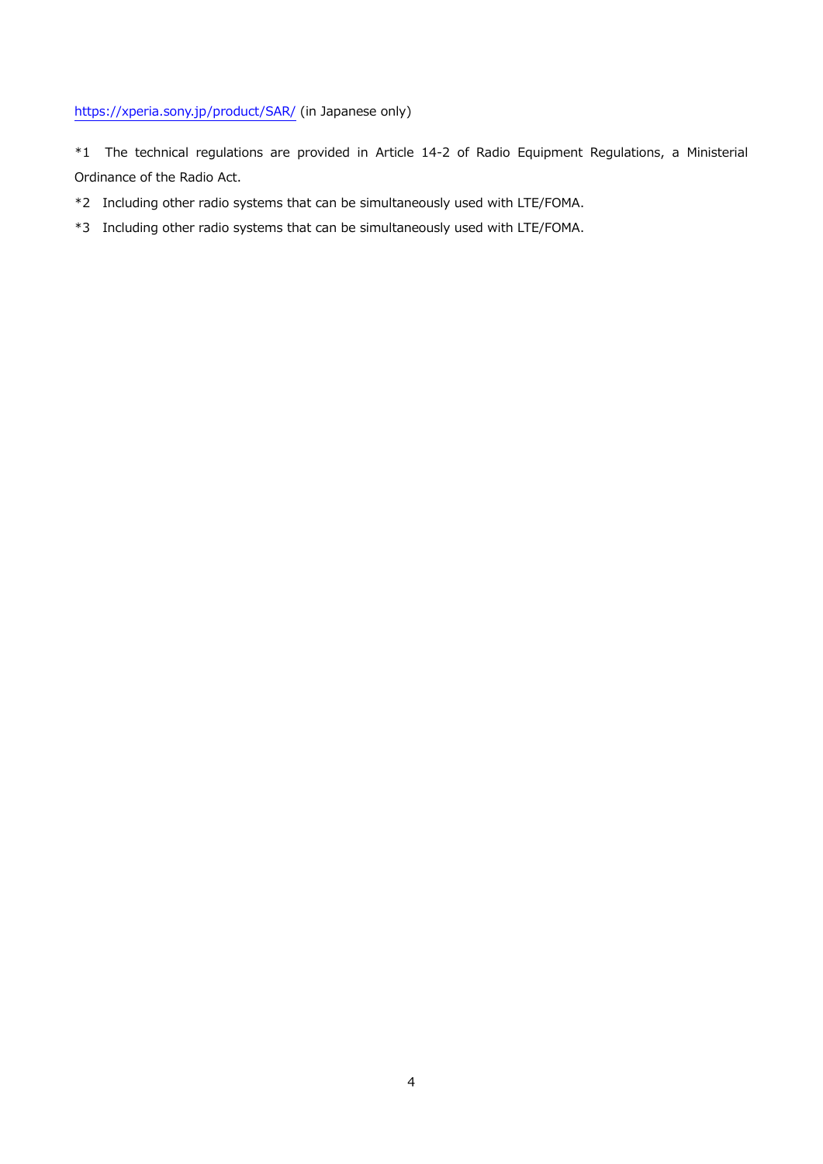## <https://xperia.sony.jp/product/SAR/> (in Japanese only)

\*1 The technical regulations are provided in Article 14-2 of Radio Equipment Regulations, a Ministerial Ordinance of the Radio Act.

\*2 Including other radio systems that can be simultaneously used with LTE/FOMA.

\*3 Including other radio systems that can be simultaneously used with LTE/FOMA.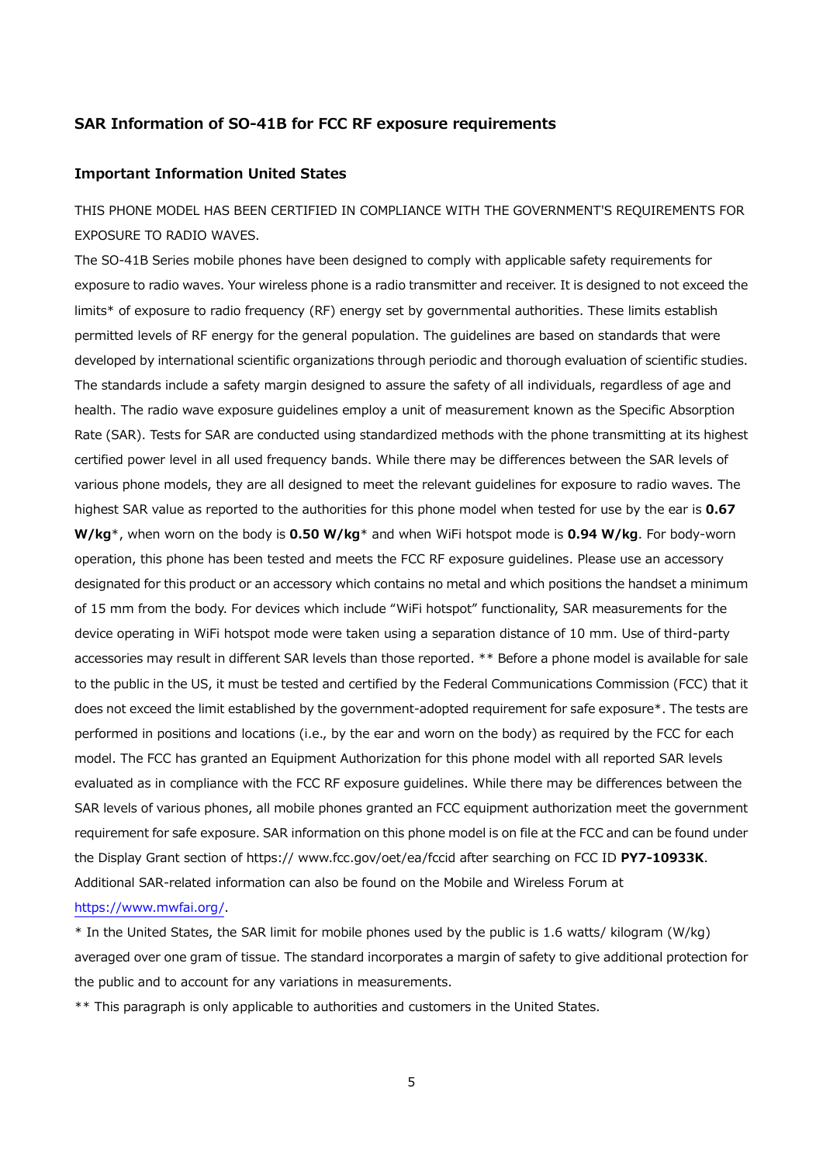#### **SAR Information of SO-41B for FCC RF exposure requirements**

#### **Important Information United States**

# THIS PHONE MODEL HAS BEEN CERTIFIED IN COMPLIANCE WITH THE GOVERNMENT'S REQUIREMENTS FOR EXPOSURE TO RADIO WAVES.

The SO-41B Series mobile phones have been designed to comply with applicable safety requirements for exposure to radio waves. Your wireless phone is a radio transmitter and receiver. It is designed to not exceed the limits\* of exposure to radio frequency (RF) energy set by governmental authorities. These limits establish permitted levels of RF energy for the general population. The guidelines are based on standards that were developed by international scientific organizations through periodic and thorough evaluation of scientific studies. The standards include a safety margin designed to assure the safety of all individuals, regardless of age and health. The radio wave exposure guidelines employ a unit of measurement known as the Specific Absorption Rate (SAR). Tests for SAR are conducted using standardized methods with the phone transmitting at its highest certified power level in all used frequency bands. While there may be differences between the SAR levels of various phone models, they are all designed to meet the relevant guidelines for exposure to radio waves. The highest SAR value as reported to the authorities for this phone model when tested for use by the ear is **0.67 W/kg**\*, when worn on the body is **0.50 W/kg**\* and when WiFi hotspot mode is **0.94 W/kg**. For body-worn operation, this phone has been tested and meets the FCC RF exposure guidelines. Please use an accessory designated for this product or an accessory which contains no metal and which positions the handset a minimum of 15 mm from the body. For devices which include "WiFi hotspot" functionality, SAR measurements for the device operating in WiFi hotspot mode were taken using a separation distance of 10 mm. Use of third-party accessories may result in different SAR levels than those reported. \*\* Before a phone model is available for sale to the public in the US, it must be tested and certified by the Federal Communications Commission (FCC) that it does not exceed the limit established by the government-adopted requirement for safe exposure\*. The tests are performed in positions and locations (i.e., by the ear and worn on the body) as required by the FCC for each model. The FCC has granted an Equipment Authorization for this phone model with all reported SAR levels evaluated as in compliance with the FCC RF exposure guidelines. While there may be differences between the SAR levels of various phones, all mobile phones granted an FCC equipment authorization meet the government requirement for safe exposure. SAR information on this phone model is on file at the FCC and can be found under the Display Grant section of https:// www.fcc.gov/oet/ea/fccid after searching on FCC ID **PY7-10933K**. Additional SAR-related information can also be found on the Mobile and Wireless Forum at [https://www.mwfai.org/.](https://www.mwfai.org/)

\* In the United States, the SAR limit for mobile phones used by the public is 1.6 watts/ kilogram (W/kg) averaged over one gram of tissue. The standard incorporates a margin of safety to give additional protection for the public and to account for any variations in measurements.

\*\* This paragraph is only applicable to authorities and customers in the United States.